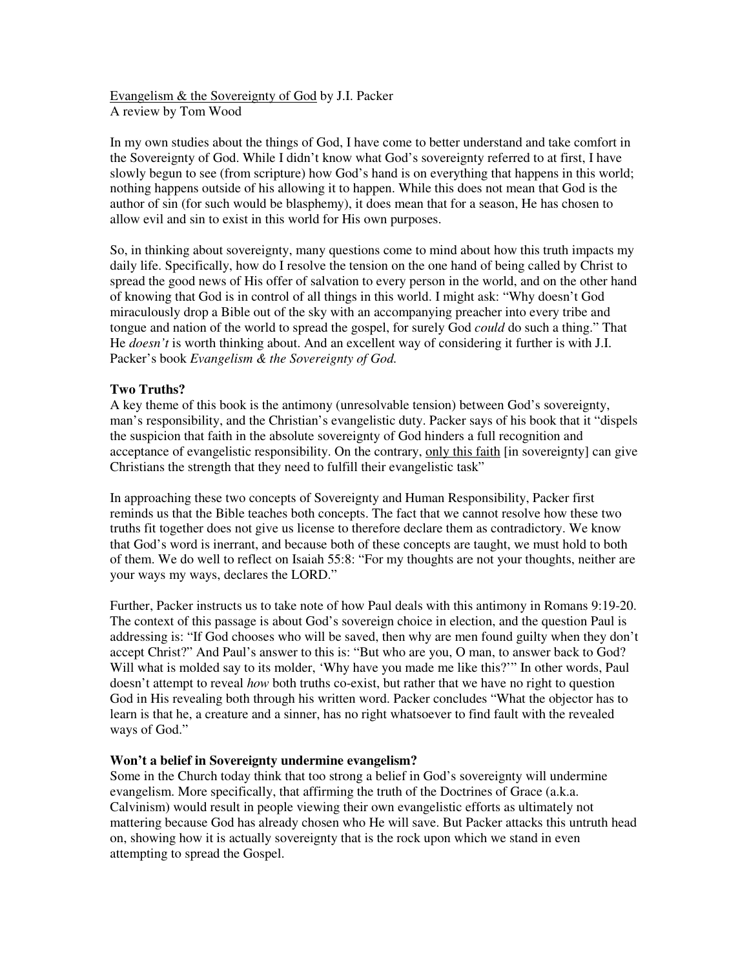Evangelism & the Sovereignty of God by J.I. Packer A review by Tom Wood

In my own studies about the things of God, I have come to better understand and take comfort in the Sovereignty of God. While I didn't know what God's sovereignty referred to at first, I have slowly begun to see (from scripture) how God's hand is on everything that happens in this world; nothing happens outside of his allowing it to happen. While this does not mean that God is the author of sin (for such would be blasphemy), it does mean that for a season, He has chosen to allow evil and sin to exist in this world for His own purposes.

So, in thinking about sovereignty, many questions come to mind about how this truth impacts my daily life. Specifically, how do I resolve the tension on the one hand of being called by Christ to spread the good news of His offer of salvation to every person in the world, and on the other hand of knowing that God is in control of all things in this world. I might ask: "Why doesn't God miraculously drop a Bible out of the sky with an accompanying preacher into every tribe and tongue and nation of the world to spread the gospel, for surely God *could* do such a thing." That He *doesn't* is worth thinking about. And an excellent way of considering it further is with J.I. Packer's book *Evangelism & the Sovereignty of God.*

## **Two Truths?**

A key theme of this book is the antimony (unresolvable tension) between God's sovereignty, man's responsibility, and the Christian's evangelistic duty. Packer says of his book that it "dispels the suspicion that faith in the absolute sovereignty of God hinders a full recognition and acceptance of evangelistic responsibility. On the contrary, only this faith [in sovereignty] can give Christians the strength that they need to fulfill their evangelistic task"

In approaching these two concepts of Sovereignty and Human Responsibility, Packer first reminds us that the Bible teaches both concepts. The fact that we cannot resolve how these two truths fit together does not give us license to therefore declare them as contradictory. We know that God's word is inerrant, and because both of these concepts are taught, we must hold to both of them. We do well to reflect on Isaiah 55:8: "For my thoughts are not your thoughts, neither are your ways my ways, declares the LORD."

Further, Packer instructs us to take note of how Paul deals with this antimony in Romans 9:19-20. The context of this passage is about God's sovereign choice in election, and the question Paul is addressing is: "If God chooses who will be saved, then why are men found guilty when they don't accept Christ?" And Paul's answer to this is: "But who are you, O man, to answer back to God? Will what is molded say to its molder, 'Why have you made me like this?'" In other words, Paul doesn't attempt to reveal *how* both truths co-exist, but rather that we have no right to question God in His revealing both through his written word. Packer concludes "What the objector has to learn is that he, a creature and a sinner, has no right whatsoever to find fault with the revealed ways of God."

## **Won't a belief in Sovereignty undermine evangelism?**

Some in the Church today think that too strong a belief in God's sovereignty will undermine evangelism. More specifically, that affirming the truth of the Doctrines of Grace (a.k.a. Calvinism) would result in people viewing their own evangelistic efforts as ultimately not mattering because God has already chosen who He will save. But Packer attacks this untruth head on, showing how it is actually sovereignty that is the rock upon which we stand in even attempting to spread the Gospel.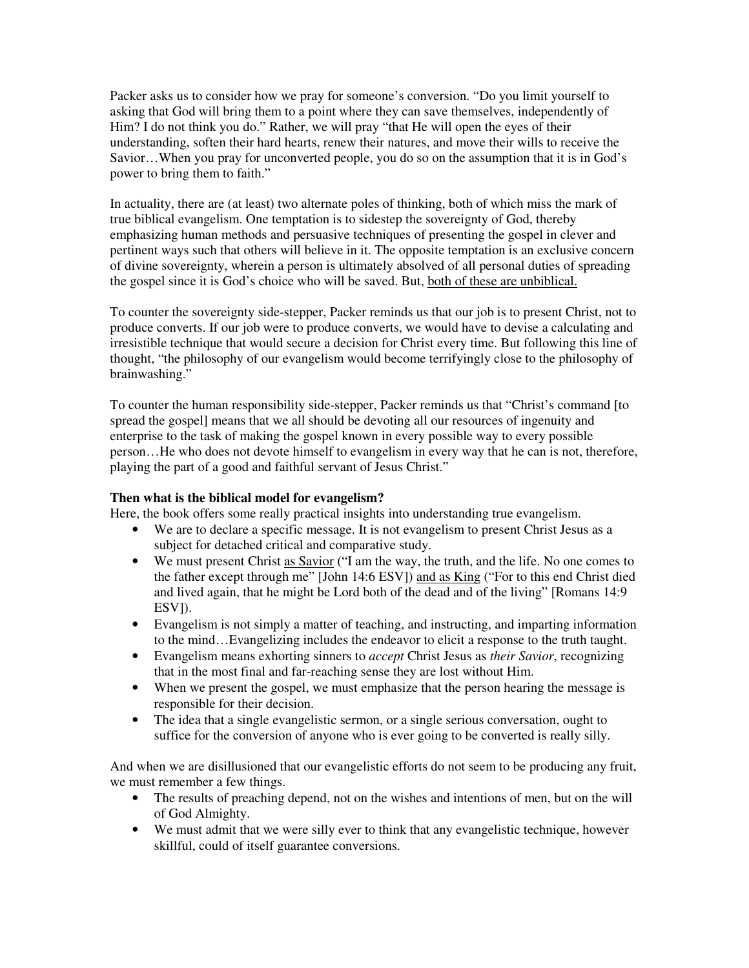Packer asks us to consider how we pray for someone's conversion. "Do you limit yourself to asking that God will bring them to a point where they can save themselves, independently of Him? I do not think you do." Rather, we will pray "that He will open the eyes of their understanding, soften their hard hearts, renew their natures, and move their wills to receive the Savior…When you pray for unconverted people, you do so on the assumption that it is in God's power to bring them to faith."

In actuality, there are (at least) two alternate poles of thinking, both of which miss the mark of true biblical evangelism. One temptation is to sidestep the sovereignty of God, thereby emphasizing human methods and persuasive techniques of presenting the gospel in clever and pertinent ways such that others will believe in it. The opposite temptation is an exclusive concern of divine sovereignty, wherein a person is ultimately absolved of all personal duties of spreading the gospel since it is God's choice who will be saved. But, both of these are unbiblical.

To counter the sovereignty side-stepper, Packer reminds us that our job is to present Christ, not to produce converts. If our job were to produce converts, we would have to devise a calculating and irresistible technique that would secure a decision for Christ every time. But following this line of thought, "the philosophy of our evangelism would become terrifyingly close to the philosophy of brainwashing."

To counter the human responsibility side-stepper, Packer reminds us that "Christ's command [to spread the gospel] means that we all should be devoting all our resources of ingenuity and enterprise to the task of making the gospel known in every possible way to every possible person…He who does not devote himself to evangelism in every way that he can is not, therefore, playing the part of a good and faithful servant of Jesus Christ."

## **Then what is the biblical model for evangelism?**

Here, the book offers some really practical insights into understanding true evangelism.

- We are to declare a specific message. It is not evangelism to present Christ Jesus as a subject for detached critical and comparative study.
- We must present Christ as Savior ("I am the way, the truth, and the life. No one comes to the father except through me" [John 14:6 ESV]) and as King ("For to this end Christ died and lived again, that he might be Lord both of the dead and of the living" [Romans 14:9 ESV]).
- Evangelism is not simply a matter of teaching, and instructing, and imparting information to the mind…Evangelizing includes the endeavor to elicit a response to the truth taught.
- Evangelism means exhorting sinners to *accept* Christ Jesus as *their Savior*, recognizing that in the most final and far-reaching sense they are lost without Him.
- When we present the gospel, we must emphasize that the person hearing the message is responsible for their decision.
- The idea that a single evangelistic sermon, or a single serious conversation, ought to suffice for the conversion of anyone who is ever going to be converted is really silly.

And when we are disillusioned that our evangelistic efforts do not seem to be producing any fruit, we must remember a few things.

- The results of preaching depend, not on the wishes and intentions of men, but on the will of God Almighty.
- We must admit that we were silly ever to think that any evangelistic technique, however skillful, could of itself guarantee conversions.